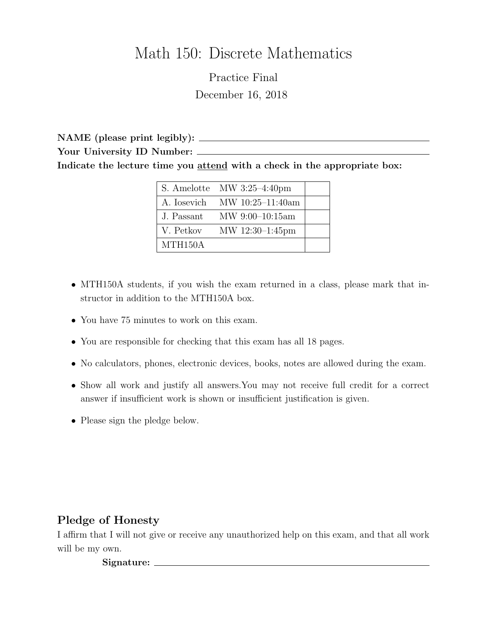# Math 150: Discrete Mathematics

Practice Final December 16, 2018

NAME (please print legibly): Your University ID Number: \_\_\_\_\_\_\_ Indicate the lecture time you attend with a check in the appropriate box:

|                      | $\vert$ S. Amelotte MW 3:25-4:40pm |  |
|----------------------|------------------------------------|--|
|                      | A. Iosevich MW $10:25-11:40$ am    |  |
| J. Passant           | $MW\ 9:00-10:15am$                 |  |
| V. Petkov            | MW 12:30-1:45pm                    |  |
| MTH <sub>150</sub> A |                                    |  |

- MTH150A students, if you wish the exam returned in a class, please mark that instructor in addition to the MTH150A box.
- You have 75 minutes to work on this exam.
- You are responsible for checking that this exam has all 18 pages.
- No calculators, phones, electronic devices, books, notes are allowed during the exam.
- Show all work and justify all answers.You may not receive full credit for a correct answer if insufficient work is shown or insufficient justification is given.
- Please sign the pledge below.

# Pledge of Honesty

I affirm that I will not give or receive any unauthorized help on this exam, and that all work will be my own.

Signature: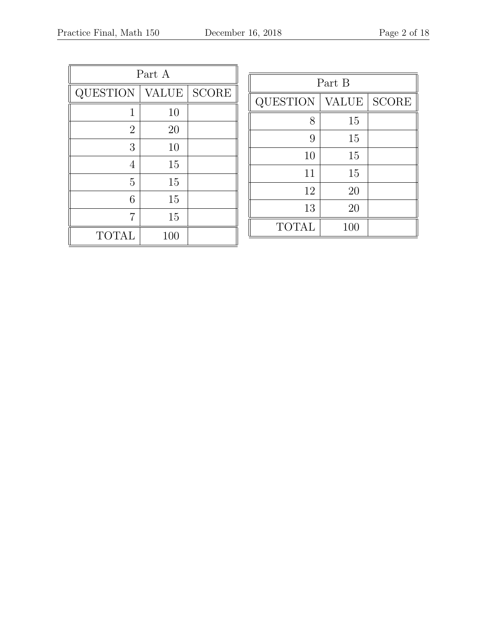| Part A         |       |       |  |  |  |  |  |  |  |
|----------------|-------|-------|--|--|--|--|--|--|--|
| QUESTION       | VALUE | SCORE |  |  |  |  |  |  |  |
| 1              | 10    |       |  |  |  |  |  |  |  |
| $\overline{2}$ | 20    |       |  |  |  |  |  |  |  |
| 3              | 10    |       |  |  |  |  |  |  |  |
| $\overline{4}$ | 15    |       |  |  |  |  |  |  |  |
| 5              | 15    |       |  |  |  |  |  |  |  |
| 6              | 15    |       |  |  |  |  |  |  |  |
| 7              | 15    |       |  |  |  |  |  |  |  |
| <b>TOTAL</b>   | 100   |       |  |  |  |  |  |  |  |

| Part B       |              |              |  |  |  |  |  |  |  |  |  |
|--------------|--------------|--------------|--|--|--|--|--|--|--|--|--|
| QUESTION     | <b>VALUE</b> | <b>SCORE</b> |  |  |  |  |  |  |  |  |  |
| 8            | 15           |              |  |  |  |  |  |  |  |  |  |
| 9            | 15           |              |  |  |  |  |  |  |  |  |  |
| 10           | 15           |              |  |  |  |  |  |  |  |  |  |
| 11           | 15           |              |  |  |  |  |  |  |  |  |  |
| 12           | 20           |              |  |  |  |  |  |  |  |  |  |
| 13           | 20           |              |  |  |  |  |  |  |  |  |  |
| <b>TOTAL</b> | 100          |              |  |  |  |  |  |  |  |  |  |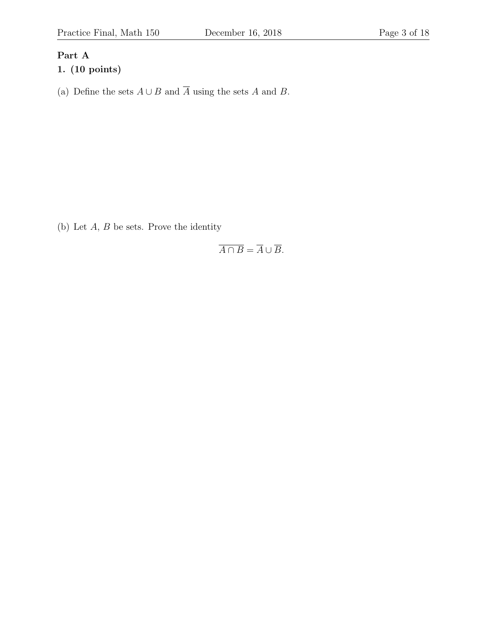# Part A

# 1. (10 points)

(a) Define the sets  $A \cup B$  and  $\overline{A}$  using the sets A and B.

(b) Let  $A, B$  be sets. Prove the identity

$$
\overline{A \cap B} = \overline{A} \cup \overline{B}.
$$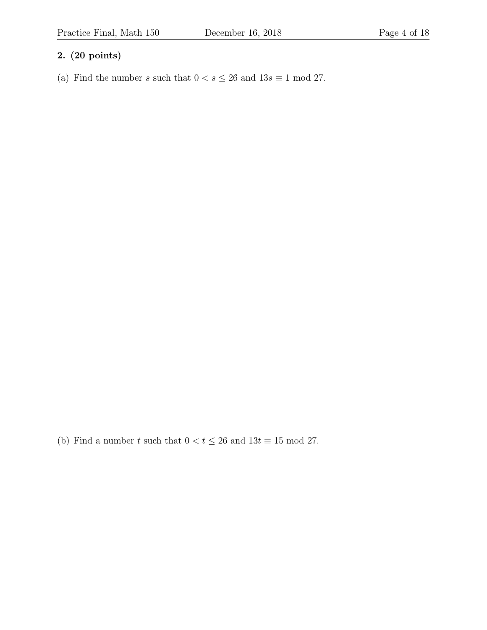## 2. (20 points)

(a) Find the number s such that  $0 < s \le 26$  and  $13s \equiv 1 \mod 27$ .

(b) Find a number  $t$  such that  $0 < t \leq 26$  and  $13t \equiv 15 \bmod 27.$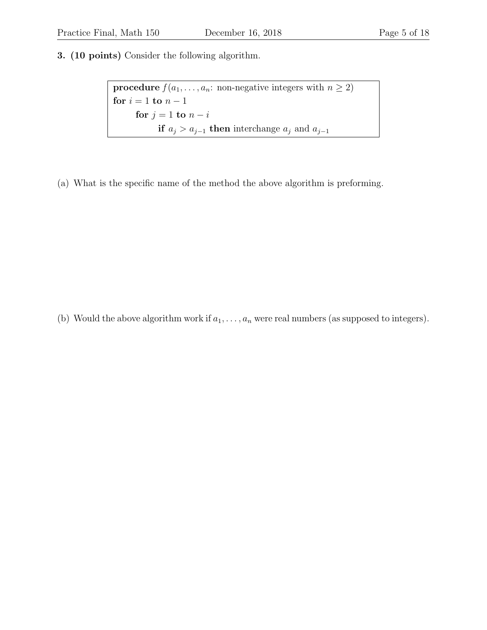3. (10 points) Consider the following algorithm.

**procedure**  $f(a_1, \ldots, a_n: \text{ non-negative integers with } n \geq 2)$ for  $i = 1$  to  $n - 1$ for  $j = 1$  to  $n - i$ if  $a_j > a_{j-1}$  then interchange  $a_j$  and  $a_{j-1}$ 

(a) What is the specific name of the method the above algorithm is preforming.

(b) Would the above algorithm work if  $a_1, \ldots, a_n$  were real numbers (as supposed to integers).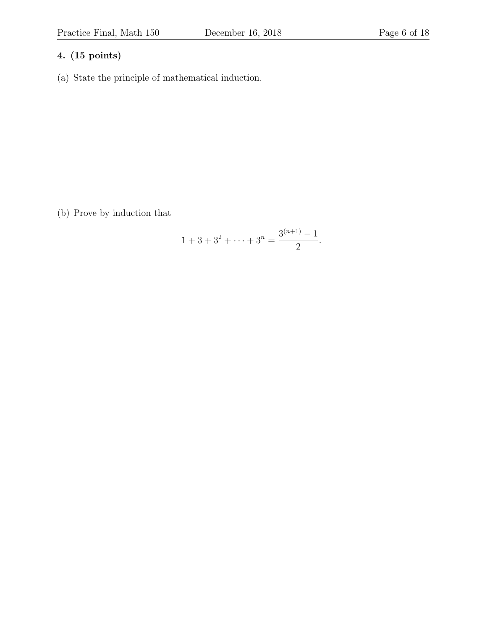(a) State the principle of mathematical induction.

(b) Prove by induction that

$$
1 + 3 + 3^2 + \dots + 3^n = \frac{3^{(n+1)} - 1}{2}.
$$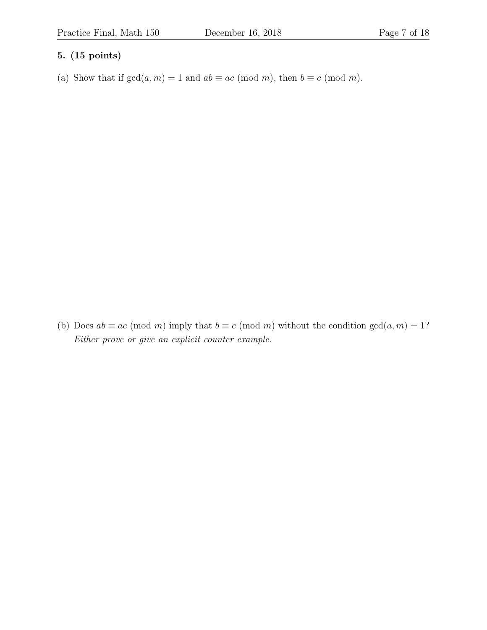(a) Show that if  $gcd(a, m) = 1$  and  $ab \equiv ac \pmod{m}$ , then  $b \equiv c \pmod{m}$ .

(b) Does  $ab \equiv ac \pmod{m}$  imply that  $b \equiv c \pmod{m}$  without the condition  $gcd(a, m) = 1$ ? Either prove or give an explicit counter example.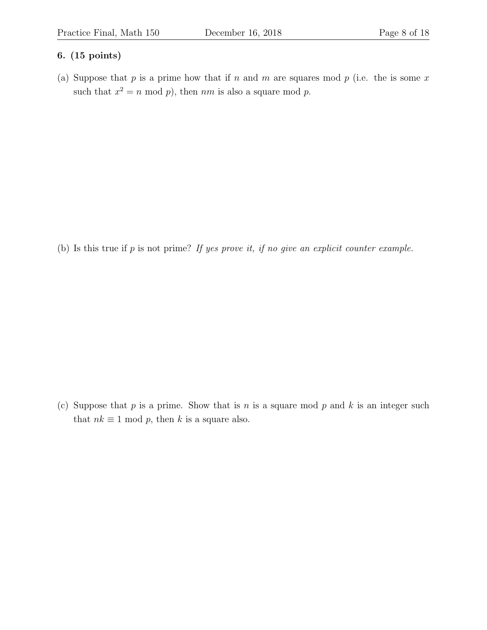(a) Suppose that  $p$  is a prime how that if  $n$  and  $m$  are squares mod  $p$  (i.e. the is some  $x$ such that  $x^2 = n \mod p$ , then  $nm$  is also a square mod p.

(b) Is this true if  $p$  is not prime? If yes prove it, if no give an explicit counter example.

(c) Suppose that  $p$  is a prime. Show that is  $n$  is a square mod  $p$  and  $k$  is an integer such that  $nk \equiv 1 \mod p$ , then k is a square also.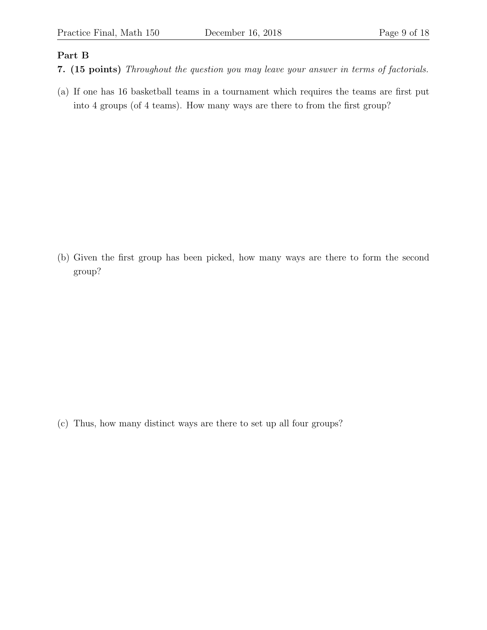### Part B

- 7. (15 points) Throughout the question you may leave your answer in terms of factorials.
- (a) If one has 16 basketball teams in a tournament which requires the teams are first put into 4 groups (of 4 teams). How many ways are there to from the first group?

(b) Given the first group has been picked, how many ways are there to form the second group?

(c) Thus, how many distinct ways are there to set up all four groups?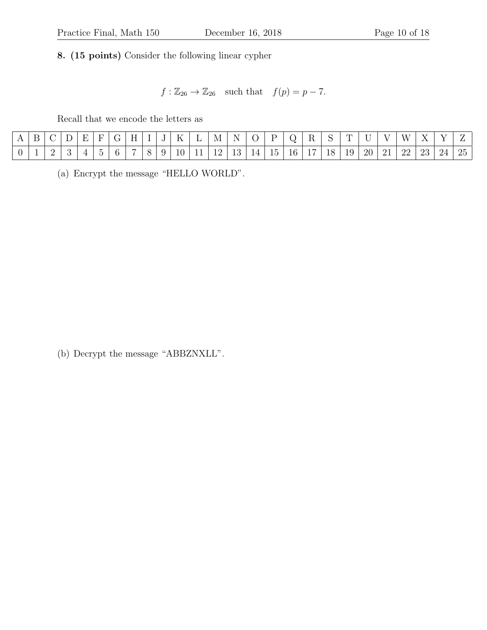8. (15 points) Consider the following linear cypher

 $f : \mathbb{Z}_{26} \to \mathbb{Z}_{26}$  such that  $f(p) = p - 7$ .

Recall that we encode the letters as

| ◡ |   |  |  | $-$<br>. . |  | . . |            | IМ | $\sim$ $\sim$<br>N |     |              |        |                                            |           |           | $ -$     |                        | $  -$   | $\mathbf{v}$ | $\overline{ }$<br>. . |
|---|---|--|--|------------|--|-----|------------|----|--------------------|-----|--------------|--------|--------------------------------------------|-----------|-----------|----------|------------------------|---------|--------------|-----------------------|
| - | - |  |  |            |  | ΙU  | <b>. .</b> | -- | ᆂᇦ                 | . . | $\sim$<br>15 | 6<br>ᆂ | $\overline{ }$<br>$\overline{\phantom{a}}$ | ' R<br>⊥∪ | 1Ω.<br>ᆂᇦ | 20<br>∠∪ | $\Omega$ <sup>-1</sup> | ററ<br>⊷ |              | つに<br>∠⊍              |

(a) Encrypt the message "HELLO WORLD".

(b) Decrypt the message "ABBZNXLL".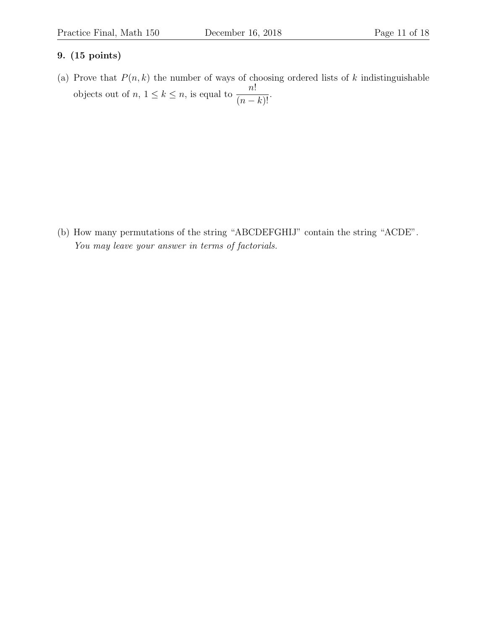(a) Prove that  $P(n, k)$  the number of ways of choosing ordered lists of k indistinguishable objects out of  $n, 1 \leq k \leq n$ , is equal to  $\frac{n!}{n!}$  $\frac{n}{(n-k)!}$ .

(b) How many permutations of the string "ABCDEFGHIJ" contain the string "ACDE". You may leave your answer in terms of factorials.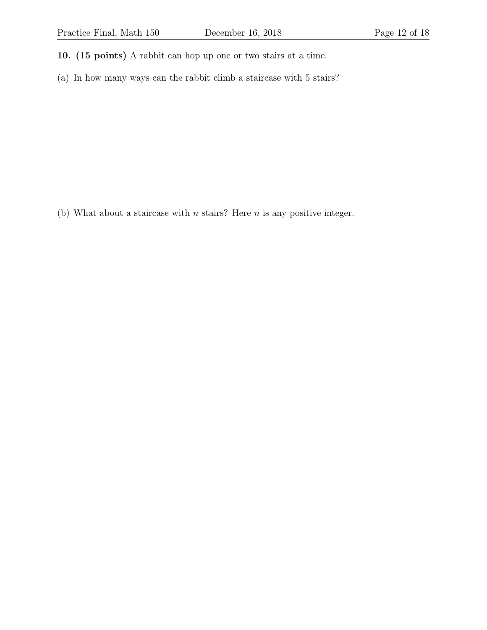- 10. (15 points) A rabbit can hop up one or two stairs at a time.
- (a) In how many ways can the rabbit climb a staircase with 5 stairs?

(b) What about a staircase with  $n$  stairs? Here  $n$  is any positive integer.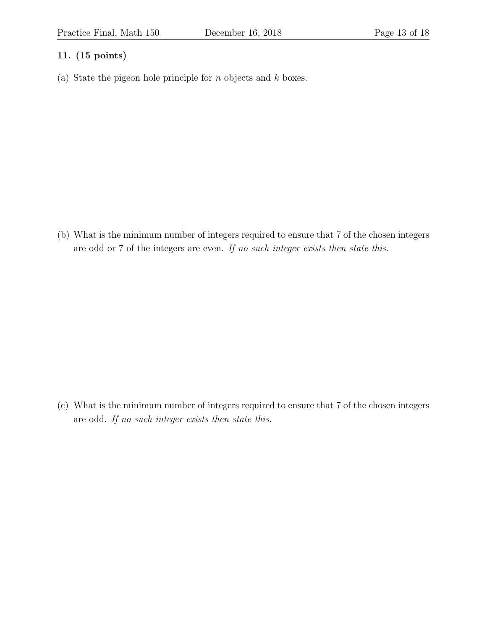(a) State the pigeon hole principle for  $n$  objects and  $k$  boxes.

(b) What is the minimum number of integers required to ensure that 7 of the chosen integers are odd or 7 of the integers are even. If no such integer exists then state this.

(c) What is the minimum number of integers required to ensure that 7 of the chosen integers are odd. If no such integer exists then state this.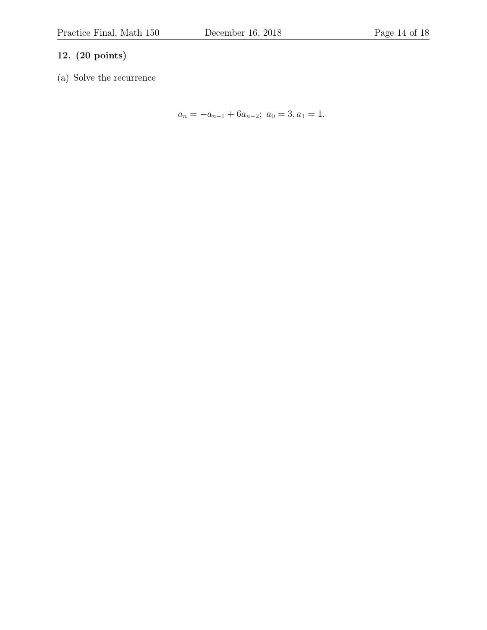### 12. (20 points)

(a) Solve the recurrence

$$
a_n = -a_{n-1} + 6a_{n-2}; \ a_0 = 3, a_1 = 1.
$$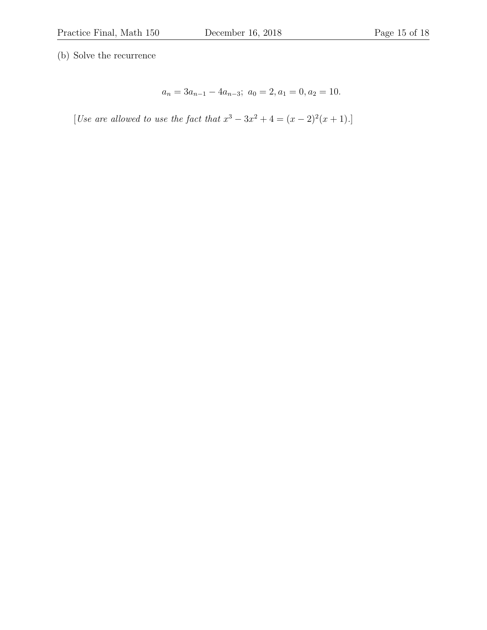(b) Solve the recurrence

$$
a_n = 3a_{n-1} - 4a_{n-3}; \ a_0 = 2, a_1 = 0, a_2 = 10.
$$

[Use are allowed to use the fact that  $x^3 - 3x^2 + 4 = (x - 2)^2(x + 1)$ .]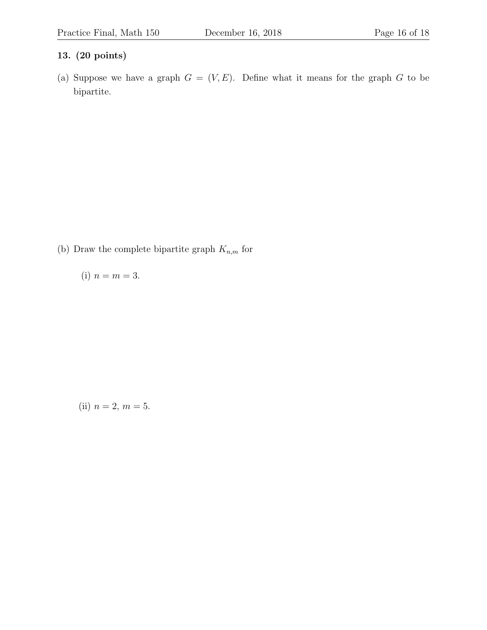### 13. (20 points)

(a) Suppose we have a graph  $G = (V, E)$ . Define what it means for the graph G to be bipartite.

(b) Draw the complete bipartite graph  ${\cal K}_{n,m}$  for

(i) 
$$
n = m = 3
$$
.

(ii) 
$$
n = 2, m = 5.
$$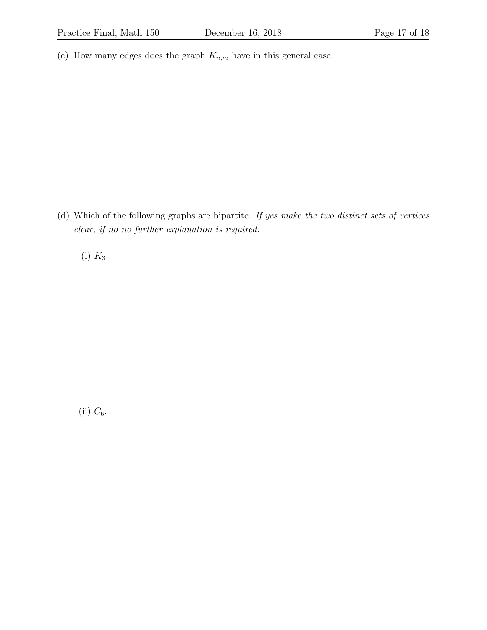(c) How many edges does the graph  $K_{n,m}$  have in this general case.

(d) Which of the following graphs are bipartite. If yes make the two distinct sets of vertices clear, if no no further explanation is required.

(i)  $K_3$ .

(ii)  $C_6$ .